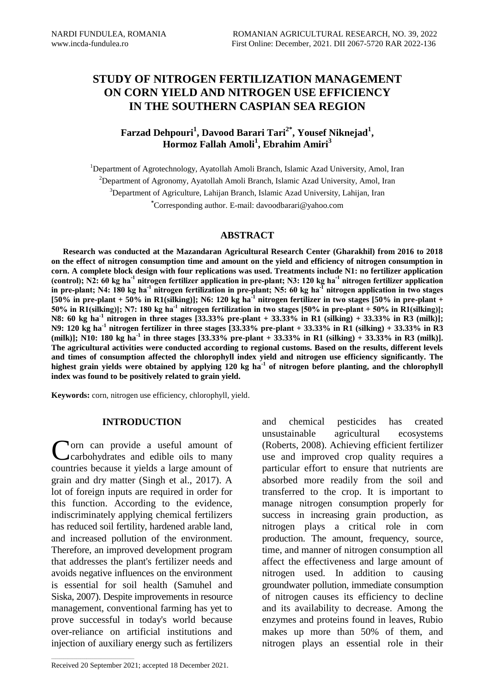# **STUDY OF NITROGEN FERTILIZATION MANAGEMENT ON CORN YIELD AND NITROGEN USE EFFICIENCY IN THE SOUTHERN CASPIAN SEA REGION**

# **Farzad Dehpouri<sup>1</sup> , Davood Barari Tari2\* , Yousef Niknejad<sup>1</sup> , Hormoz Fallah Amoli<sup>1</sup> , Ebrahim Amiri<sup>3</sup>**

<sup>1</sup>Department of Agrotechnology, Ayatollah Amoli Branch, Islamic Azad University, Amol, Iran <sup>2</sup>Department of Agronomy, Ayatollah Amoli Branch, Islamic Azad University, Amol, Iran  $3$ Department of Agriculture, Lahijan Branch, Islamic Azad University, Lahijan, Iran **\***Corresponding author. E-mail: davoodbarari@yahoo.com

# **ABSTRACT**

**Research was conducted at the Mazandaran Agricultural Research Center (Gharakhil) from 2016 to 2018 on the effect of nitrogen consumption time and amount on the yield and efficiency of nitrogen consumption in corn. A complete block design with four replications was used. Treatments include N1: no fertilizer application (control); N2: 60 kg ha-1 nitrogen fertilizer application in pre-plant; N3: 120 kg ha-1 nitrogen fertilizer application in pre-plant; N4: 180 kg ha-1 nitrogen fertilization in pre-plant; N5: 60 kg ha-1 nitrogen application in two stages [50% in pre-plant + 50% in R1(silking)]; N6: 120 kg ha-1 nitrogen fertilizer in two stages [50% in pre-plant + 50% in R1(silking)]; N7: 180 kg ha-1 nitrogen fertilization in two stages [50% in pre-plant + 50% in R1(silking)]; N8: 60 kg ha-1 nitrogen in three stages [33.33% pre-plant + 33.33% in R1 (silking) + 33.33% in R3 (milk)]; N9: 120 kg ha-1 nitrogen fertilizer in three stages [33.33% pre-plant + 33.33% in R1 (silking) + 33.33% in R3**  (milk)]; **N10: 180 kg ha<sup>-1</sup> in three stages [33.33% pre-plant + 33.33% in R1 (silking) + 33.33% in R3 (milk)]. The agricultural activities were conducted according to regional customs. Based on the results, different levels and times of consumption affected the chlorophyll index yield and nitrogen use efficiency significantly. The highest grain yields were obtained by applying 120 kg ha-1 of nitrogen before planting, and the chlorophyll index was found to be positively related to grain yield.**

**Keywords:** corn, nitrogen use efficiency, chlorophyll, yield.

## **INTRODUCTION**

**T**orn can provide a useful amount of Corn can provide a useful amount of<br>Carbohydrates and edible oils to many countries because it yields a large amount of grain and dry matter (Singh et al., 2017). A lot of foreign inputs are required in order for this function. According to the evidence, indiscriminately applying chemical fertilizers has reduced soil fertility, hardened arable land, and increased pollution of the environment. Therefore, an improved development program that addresses the plant's fertilizer needs and avoids negative influences on the environment is essential for soil health (Samuhel and Siska, 2007). Despite improvements in resource management, conventional farming has yet to prove successful in today's world because over-reliance on artificial institutions and injection of auxiliary energy such as fertilizers

Received 20 September 2021; accepted 18 December 2021.

 $\mathcal{L}_\text{max}$  and  $\mathcal{L}_\text{max}$  and  $\mathcal{L}_\text{max}$  and  $\mathcal{L}_\text{max}$ 

and chemical pesticides has created unsustainable agricultural ecosystems (Roberts, 2008). Achieving efficient fertilizer use and improved crop quality requires a particular effort to ensure that nutrients are absorbed more readily from the soil and transferred to the crop. It is important to manage nitrogen consumption properly for success in increasing grain production, as nitrogen plays a critical role in corn production. The amount, frequency, source, time, and manner of nitrogen consumption all affect the effectiveness and large amount of nitrogen used. In addition to causing groundwater pollution, immediate consumption of nitrogen causes its efficiency to decline and its availability to decrease. Among the enzymes and proteins found in leaves, Rubio makes up more than 50% of them, and nitrogen plays an essential role in their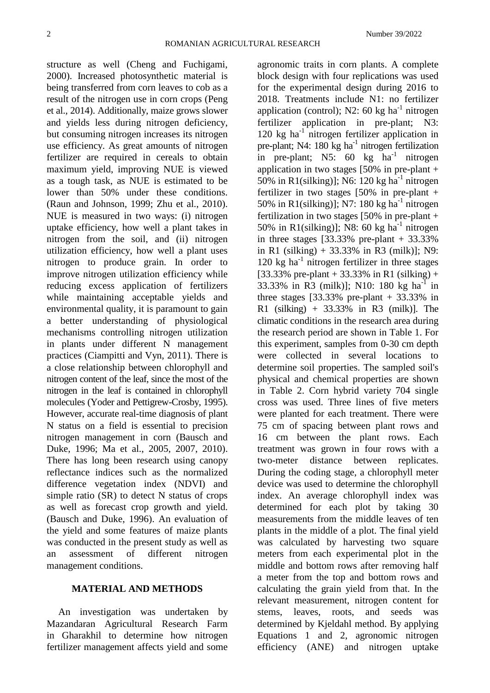structure as well (Cheng and Fuchigami, 2000). Increased photosynthetic material is being transferred from corn leaves to cob as a result of the nitrogen use in corn crops (Peng et al., 2014). Additionally, maize grows slower and yields less during nitrogen deficiency, but consuming nitrogen increases its nitrogen use efficiency. As great amounts of nitrogen fertilizer are required in cereals to obtain maximum yield, improving NUE is viewed as a tough task, as NUE is estimated to be lower than 50% under these conditions. (Raun and Johnson, 1999; Zhu et al., 2010). NUE is measured in two ways: (i) nitrogen uptake efficiency, how well a plant takes in nitrogen from the soil, and (ii) nitrogen utilization efficiency, how well a plant uses nitrogen to produce grain. In order to improve nitrogen utilization efficiency while reducing excess application of fertilizers while maintaining acceptable yields and environmental quality, it is paramount to gain a better understanding of physiological mechanisms controlling nitrogen utilization in plants under different N management practices (Ciampitti and Vyn, 2011). There is a close relationship between chlorophyll and nitrogen content of the leaf, since the most of the nitrogen in the leaf is contained in chlorophyll molecules (Yoder and Pettigrew-Crosby, 1995). However, accurate real-time diagnosis of plant N status on a field is essential to precision nitrogen management in corn (Bausch and Duke, 1996; Ma et al., 2005, 2007, 2010). There has long been research using canopy reflectance indices such as the normalized difference vegetation index (NDVI) and simple ratio (SR) to detect N status of crops as well as forecast crop growth and yield. (Bausch and Duke, 1996). An evaluation of the yield and some features of maize plants was conducted in the present study as well as an assessment of different nitrogen management conditions.

# **MATERIAL AND METHODS**

An investigation was undertaken by Mazandaran Agricultural Research Farm in Gharakhil to determine how nitrogen fertilizer management affects yield and some

agronomic traits in corn plants. A complete block design with four replications was used for the experimental design during 2016 to 2018. Treatments include N1: no fertilizer application (control); N2: 60 kg ha<sup>-1</sup> nitrogen fertilizer application in pre-plant; N3: 120 kg ha-1 nitrogen fertilizer application in pre-plant; N4: 180 kg ha<sup>-1</sup> nitrogen fertilization in pre-plant; N5:  $60 \text{ kg}$  ha<sup>-1</sup> nitrogen application in two stages [50% in pre-plant + 50% in R1(silking)]; N6: 120 kg ha<sup>-1</sup> nitrogen fertilizer in two stages  $[50\%$  in pre-plant + 50% in R1(silking)]; N7: 180 kg ha<sup>-1</sup> nitrogen fertilization in two stages  $[50\%$  in pre-plant + 50% in R1(silking)]; N8: 60 kg ha<sup>-1</sup> nitrogen in three stages  $[33.33\%$  pre-plant + 33.33% in R1 (silking) + 33.33% in R3 (milk)]; N9: 120 kg ha<sup>-1</sup> nitrogen fertilizer in three stages  $[33.33\%$  pre-plant + 33.33% in R1 (silking) + 33.33% in R3 (milk)]; N10: 180 kg ha<sup>-1</sup> in three stages  $[33.33\%$  pre-plant + 33.33% in R1 (silking) + 33.33% in R3 (milk)]. The climatic conditions in the research area during the research period are shown in Table 1. For this experiment, samples from 0-30 cm depth were collected in several locations to determine soil properties. The sampled soil's physical and chemical properties are shown in Table 2. Corn hybrid variety 704 single cross was used. Three lines of five meters were planted for each treatment. There were 75 cm of spacing between plant rows and 16 cm between the plant rows. Each treatment was grown in four rows with a two-meter distance between replicates. During the coding stage, a chlorophyll meter device was used to determine the chlorophyll index. An average chlorophyll index was determined for each plot by taking 30 measurements from the middle leaves of ten plants in the middle of a plot. The final yield was calculated by harvesting two square meters from each experimental plot in the middle and bottom rows after removing half a meter from the top and bottom rows and calculating the grain yield from that. In the relevant measurement, nitrogen content for stems, leaves, roots, and seeds was determined by Kjeldahl method. By applying Equations 1 and 2, agronomic nitrogen efficiency (ANE) and nitrogen uptake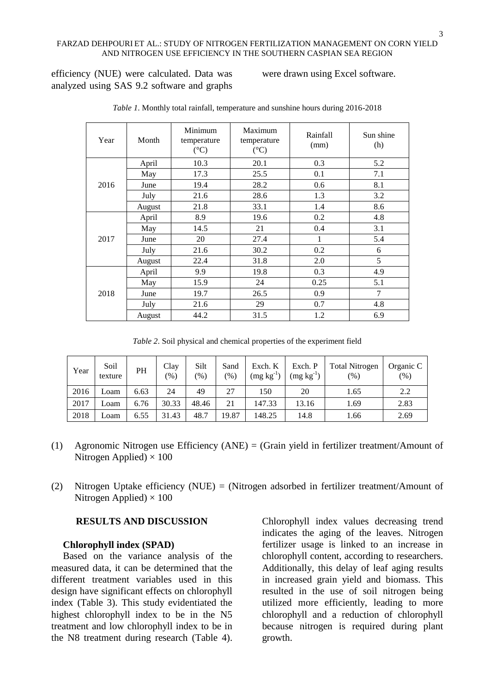# FARZAD DEHPOURI ET AL.: STUDY OF NITROGEN FERTILIZATION MANAGEMENT ON CORN YIELD AND NITROGEN USE EFFICIENCY IN THE SOUTHERN CASPIAN SEA REGION

efficiency (NUE) were calculated. Data was analyzed using SAS 9.2 software and graphs

were drawn using Excel software.

| Year | Month  | Minimum<br>temperature<br>$({}^{\circ}C)$ | Maximum<br>temperature<br>$({}^{\circ}C)$ | Rainfall<br>(mm) | Sun shine<br>(h) |
|------|--------|-------------------------------------------|-------------------------------------------|------------------|------------------|
|      | April  | 10.3                                      | 20.1                                      | 0.3              | 5.2              |
|      | May    | 17.3                                      | 25.5                                      | 0.1              | 7.1              |
| 2016 | June   | 19.4                                      | 28.2                                      | 0.6              | 8.1              |
|      | July   | 21.6                                      | 28.6                                      | 1.3              | 3.2              |
|      | August | 21.8                                      | 33.1                                      | 1.4              | 8.6              |
|      | April  | 8.9                                       | 19.6                                      | 0.2              | 4.8              |
|      | May    | 14.5                                      | 21                                        | 0.4              | 3.1              |
| 2017 | June   | 20                                        | 27.4                                      | 1                | 5.4              |
|      | July   | 21.6                                      | 30.2                                      | 0.2              | 6                |
|      | August | 22.4                                      | 31.8                                      | 2.0              | 5                |
| 2018 | April  | 9.9                                       | 19.8                                      | 0.3              | 4.9              |
|      | May    | 15.9                                      | 24                                        | 0.25             | 5.1              |
|      | June   | 19.7                                      | 26.5                                      | 0.9              | 7                |
|      | July   | 21.6                                      | 29                                        | 0.7              | 4.8              |
|      | August | 44.2                                      | 31.5                                      | 1.2              | 6.9              |

*Table 2*. Soil physical and chemical properties of the experiment field

| Year | Soil<br>texture | PH   | Clay<br>$(\%)$ | Silt<br>$(\%)$ | Sand<br>$(\%)$ | Exch. K<br>$(mg kg^{-1})$ | Exch. P<br>$(mg kg^{-1})$ | <b>Total Nitrogen</b><br>$\frac{9}{6}$ | Organic C<br>(%) |
|------|-----------------|------|----------------|----------------|----------------|---------------------------|---------------------------|----------------------------------------|------------------|
| 2016 | Loam            | 6.63 | 24             | 49             | 27             | 150                       | 20                        | 1.65                                   | 2.2              |
| 2017 | Loam            | 6.76 | 30.33          | 48.46          | 21             | 147.33                    | 13.16                     | 1.69                                   | 2.83             |
| 2018 | Loam            | 6.55 | 31.43          | 48.7           | 19.87          | 148.25                    | 14.8                      | 1.66                                   | 2.69             |

- (1) Agronomic Nitrogen use Efficiency (ANE) = (Grain yield in fertilizer treatment/Amount of Nitrogen Applied)  $\times$  100
- (2) Nitrogen Uptake efficiency (NUE) = (Nitrogen adsorbed in fertilizer treatment/Amount of Nitrogen Applied)  $\times$  100

# **RESULTS AND DISCUSSION**

## **Chlorophyll index (SPAD)**

Based on the variance analysis of the measured data, it can be determined that the different treatment variables used in this design have significant effects on chlorophyll index (Table 3). This study evidentiated the highest chlorophyll index to be in the N5 treatment and low chlorophyll index to be in the N8 treatment during research (Table 4).

Chlorophyll index values decreasing trend indicates the aging of the leaves. Nitrogen fertilizer usage is linked to an increase in chlorophyll content, according to researchers. Additionally, this delay of leaf aging results in increased grain yield and biomass. This resulted in the use of soil nitrogen being utilized more efficiently, leading to more chlorophyll and a reduction of chlorophyll because nitrogen is required during plant growth.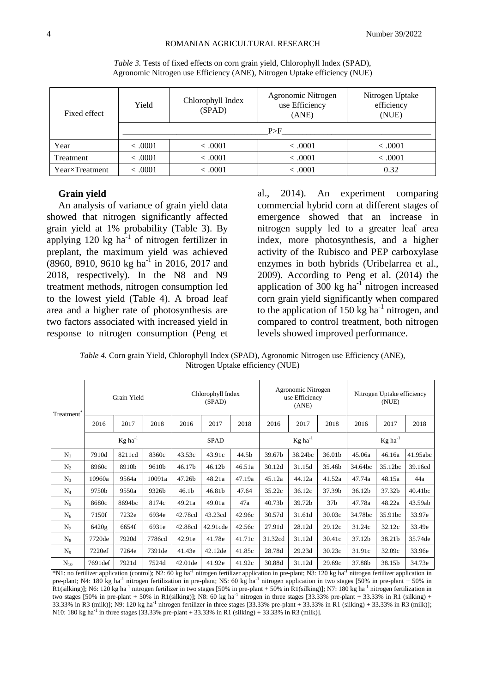#### ROMANIAN AGRICULTURAL RESEARCH

| Fixed effect   | Yield   | Chlorophyll Index<br>(SPAD) | Agronomic Nitrogen<br>use Efficiency<br>(ANE) | Nitrogen Uptake<br>efficiency<br>(NUE) |  |  |  |  |
|----------------|---------|-----------------------------|-----------------------------------------------|----------------------------------------|--|--|--|--|
|                | P>F     |                             |                                               |                                        |  |  |  |  |
| Year           | < .0001 | < .0001                     | < .0001                                       | < .0001                                |  |  |  |  |
| Treatment      | < .0001 | < 0.001                     | < .0001                                       | < .0001                                |  |  |  |  |
| Year×Treatment | .0001   | < 0.001                     | <.0001                                        | 0.32                                   |  |  |  |  |

*Table 3.* Tests of fixed effects on corn grain yield, Chlorophyll Index (SPAD), Agronomic Nitrogen use Efficiency (ANE), Nitrogen Uptake efficiency (NUE)

# **Grain yield**

An analysis of variance of grain yield data showed that nitrogen significantly affected grain yield at 1% probability (Table 3). By applying  $120 \text{ kg}$  ha<sup>-1</sup> of nitrogen fertilizer in preplant, the maximum yield was achieved  $(8960, 8910, 9610 \text{ kg ha}^{-1} \text{ in } 2016, 2017 \text{ and } 1000 \text{ m}^{-1} \text{ in } 2016, 2017 \text{ and } 1000 \text{ m}^{-1} \text{ in } 2016, 2017 \text{ and } 2016 \text{ m}^{-1} \text{ in } 2016.$ 2018, respectively). In the N8 and N9 treatment methods, nitrogen consumption led to the lowest yield (Table 4). A broad leaf area and a higher rate of photosynthesis are two factors associated with increased yield in response to nitrogen consumption (Peng et

al., 2014). An experiment comparing commercial hybrid corn at different stages of emergence showed that an increase in nitrogen supply led to a greater leaf area index, more photosynthesis, and a higher activity of the Rubisco and PEP carboxylase enzymes in both hybrids (Uribelarrea et al., 2009). According to Peng et al. (2014) the application of  $300 \text{ kg}$  ha<sup>-1</sup> nitrogen increased corn grain yield significantly when compared to the application of  $150 \text{ kg}$  ha<sup>-1</sup> nitrogen, and compared to control treatment, both nitrogen levels showed improved performance.

*Table 4.* Corn grain Yield, Chlorophyll Index (SPAD), Agronomic Nitrogen use Efficiency (ANE), Nitrogen Uptake efficiency (NUE)

| $\operatorname{\mathsf{Treatment}}^*$ | Grain Yield           |        |        | Chlorophyll Index<br>(SPAD) |          | Agronomic Nitrogen<br>use Efficiency<br>(ANE) |         |         | Nitrogen Uptake efficiency<br>(NUE) |         |         |                     |
|---------------------------------------|-----------------------|--------|--------|-----------------------------|----------|-----------------------------------------------|---------|---------|-------------------------------------|---------|---------|---------------------|
|                                       | 2016                  | 2017   | 2018   | 2016                        | 2017     | 2018                                          | 2016    | 2017    | 2018                                | 2016    | 2017    | 2018                |
|                                       | $Kg$ ha <sup>-1</sup> |        |        | <b>SPAD</b>                 |          | $Kg$ ha <sup>-1</sup>                         |         |         | $Kg$ ha <sup>-1</sup>               |         |         |                     |
| $N_1$                                 | 7910d                 | 8211cd | 8360c  | 43.53c                      | 43.91c   | 44.5b                                         | 39.67b  | 38.24bc | 36.01b                              | 45.06a  | 46.16a  | 41.95abc            |
| $N_2$                                 | 8960c                 | 8910b  | 9610b  | 46.17b                      | 46.12b   | 46.51a                                        | 30.12d  | 31.15d  | 35.46b                              | 34.64bc | 35.12bc | 39.16cd             |
| $N_3$                                 | 10960a                | 9564a  | 10091a | 47.26b                      | 48.21a   | 47.19a                                        | 45.12a  | 44.12a  | 41.52a                              | 47.74a  | 48.15a  | 44a                 |
| $N_4$                                 | 9750b                 | 9550a  | 9326b  | 46.1 <sub>b</sub>           | 46.81b   | 47.64                                         | 35.22c  | 36.12c  | 37.39b                              | 36.12b  | 37.32b  | 40.41 <sub>bc</sub> |
| $N_5$                                 | 8680c                 | 8694bc | 8174c  | 49.21a                      | 49.01a   | 47a                                           | 40.73b  | 39.72b  | 37 <sub>b</sub>                     | 47.78a  | 48.22a  | 43.59ab             |
| $N_6$                                 | 7150f                 | 7232e  | 6934e  | 42.78cd                     | 43.23cd  | 42.96c                                        | 30.57d  | 31.61d  | 30.03c                              | 34.78bc | 35.91bc | 33.97e              |
| $N_7$                                 | 6420g                 | 6654f  | 6931e  | 42.88cd                     | 42.91cde | 42.56c                                        | 27.91d  | 28.12d  | 29.12c                              | 31.24c  | 32.12c  | 33.49e              |
| $N_8$                                 | 7720de                | 7920d  | 7786cd | 42.91e                      | 41.78e   | 41.71c                                        | 31.32cd | 31.12d  | 30.41c                              | 37.12b  | 38.21b  | 35.74de             |
| N <sub>9</sub>                        | 7220ef                | 7264e  | 7391de | 41.43e                      | 42.12de  | 41.85c                                        | 28.78d  | 29.23d  | 30.23c                              | 31.91c  | 32.09c  | 33.96e              |
| $N_{10}$                              | 7691 def              | 7921d  | 7524d  | 42.01 <sub>de</sub>         | 41.92e   | 41.92c                                        | 30.88d  | 31.12d  | 29.69c                              | 37.88b  | 38.15b  | 34.73e              |

\*N1: no fertilizer application (control); N2: 60 kg ha<sup>-1</sup> nitrogen fertilizer application in pre-plant; N3: 120 kg ha<sup>-1</sup> nitrogen fertilizer application in pre-plant; N4: 180 kg ha<sup>-1</sup> nitrogen fertilization in pre-plant; N5: 60 kg ha<sup>-1</sup> nitrogen application in two stages [50% in pre-plant + 50% in R1(silking)]; N6: 120 kg ha<sup>-1</sup> nitrogen fertilizer in two stages [50% in pre-plant + 50% in R1(silking)]; N7: 180 kg ha<sup>-1</sup> nitrogen fertilization in two stages [50% in pre-plant + 50% in R1(silking)]; N8: 60 kg ha<sup>-1</sup> nitrogen in three stages [33.33% pre-plant + 33.33% in R1 (silking) + 33.33% in R3 (milk)]; N9: 120 kg ha<sup>-1</sup> nitrogen fertilizer in three stages [33.33% pre-plant + 33.33% in R1 (silking) + 33.33% in R3 (milk)]; N10: 180 kg ha<sup>-1</sup> in three stages [33.33% pre-plant + 33.33% in R1 (silking) + 33.33% in R3 (milk)].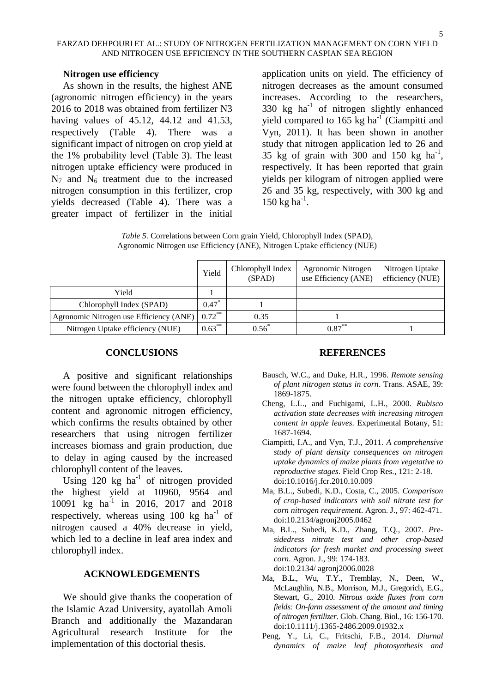# FARZAD DEHPOURI ET AL.: STUDY OF NITROGEN FERTILIZATION MANAGEMENT ON CORN YIELD AND NITROGEN USE EFFICIENCY IN THE SOUTHERN CASPIAN SEA REGION

# **Nitrogen use efficiency**

As shown in the results, the highest ANE (agronomic nitrogen efficiency) in the years 2016 to 2018 was obtained from fertilizer N3 having values of 45.12, 44.12 and 41.53, respectively (Table 4). There was a significant impact of nitrogen on crop yield at the 1% probability level (Table 3). The least nitrogen uptake efficiency were produced in  $N_7$  and  $N_6$  treatment due to the increased nitrogen consumption in this fertilizer, crop yields decreased (Table 4). There was a greater impact of fertilizer in the initial

application units on yield. The efficiency of nitrogen decreases as the amount consumed increases. According to the researchers, 330 kg ha<sup>-1</sup> of nitrogen slightly enhanced yield compared to  $165$  kg ha<sup>-1</sup> (Ciampitti and Vyn, 2011). It has been shown in another study that nitrogen application led to 26 and 35 kg of grain with  $300$  and  $150$  kg ha<sup>-1</sup>, respectively. It has been reported that grain yields per kilogram of nitrogen applied were 26 and 35 kg, respectively, with 300 kg and  $150 \text{ kg} \text{ ha}^{-1}$ .

*Table 5.* Correlations between Corn grain Yield, Chlorophyll Index (SPAD), Agronomic Nitrogen use Efficiency (ANE), Nitrogen Uptake efficiency (NUE)

|                                         | Yield               | Chlorophyll Index<br>(SPAD) | Agronomic Nitrogen<br>use Efficiency (ANE) | Nitrogen Uptake<br>efficiency (NUE) |
|-----------------------------------------|---------------------|-----------------------------|--------------------------------------------|-------------------------------------|
| Yield                                   |                     |                             |                                            |                                     |
| Chlorophyll Index (SPAD)                | $0.47$ <sup>*</sup> |                             |                                            |                                     |
| Agronomic Nitrogen use Efficiency (ANE) | $0.72***$           | 0.35                        |                                            |                                     |
| Nitrogen Uptake efficiency (NUE)        | $0.63***$           | 0.56                        | $0.87***$                                  |                                     |

# **CONCLUSIONS**

A positive and significant relationships were found between the chlorophyll index and the nitrogen uptake efficiency, chlorophyll content and agronomic nitrogen efficiency, which confirms the results obtained by other researchers that using nitrogen fertilizer increases biomass and grain production, due to delay in aging caused by the increased chlorophyll content of the leaves.

Using  $120 \text{ kg}$  ha<sup>-1</sup> of nitrogen provided the highest yield at 10960, 9564 and 10091 kg ha<sup>-1</sup> in 2016, 2017 and 2018 respectively, whereas using  $100 \text{ kg}$  ha<sup>-1</sup> of nitrogen caused a 40% decrease in yield, which led to a decline in leaf area index and chlorophyll index.

# **ACKNOWLEDGEMENTS**

We should give thanks the cooperation of the Islamic Azad University, ayatollah Amoli Branch and additionally the Mazandaran Agricultural research Institute for the implementation of this doctorial thesis.

# **REFERENCES**

- Bausch, W.C., and Duke, H.R., 1996. *Remote sensing of plant nitrogen status in corn*. Trans. ASAE, 39: 1869-1875.
- Cheng, L.L., and Fuchigami, L.H., 2000. *Rubisco activation state decreases with increasing nitrogen content in apple leaves*. Experimental Botany, 51: 1687-1694.
- Ciampitti, I.A., and Vyn, T.J., 2011. *A comprehensive study of plant density consequences on nitrogen uptake dynamics of maize plants from vegetative to reproductive stages*. Field Crop Res., 121: 2-18. doi:10.1016/j.fcr.2010.10.009
- Ma, B.L., Subedi, K.D., Costa, C., 2005. *Comparison of crop-based indicators with soil nitrate test for corn nitrogen requirement*. Agron. J., 97: 462-471. doi:10.2134/agronj2005.0462
- Ma, B.L., Subedi, K.D., Zhang, T.Q., 2007. *Presidedress nitrate test and other crop-based indicators for fresh market and processing sweet corn*. Agron. J., 99: 174-183. doi:10.2134/ agronj2006.0028
- Ma, B.L., Wu, T.Y., Tremblay, N., Deen, W., McLaughlin, N.B., Morrison, M.J., Gregorich, E.G., Stewart, G., 2010. *Nitrous oxide fluxes from corn fields: On-farm assessment of the amount and timing of nitrogen fertilizer*. Glob. Chang. Biol., 16: 156-170. doi:10.1111/j.1365-2486.2009.01932.x
- Peng, Y., Li, C., Fritschi, F.B., 2014. *Diurnal dynamics of maize leaf photosynthesis and*